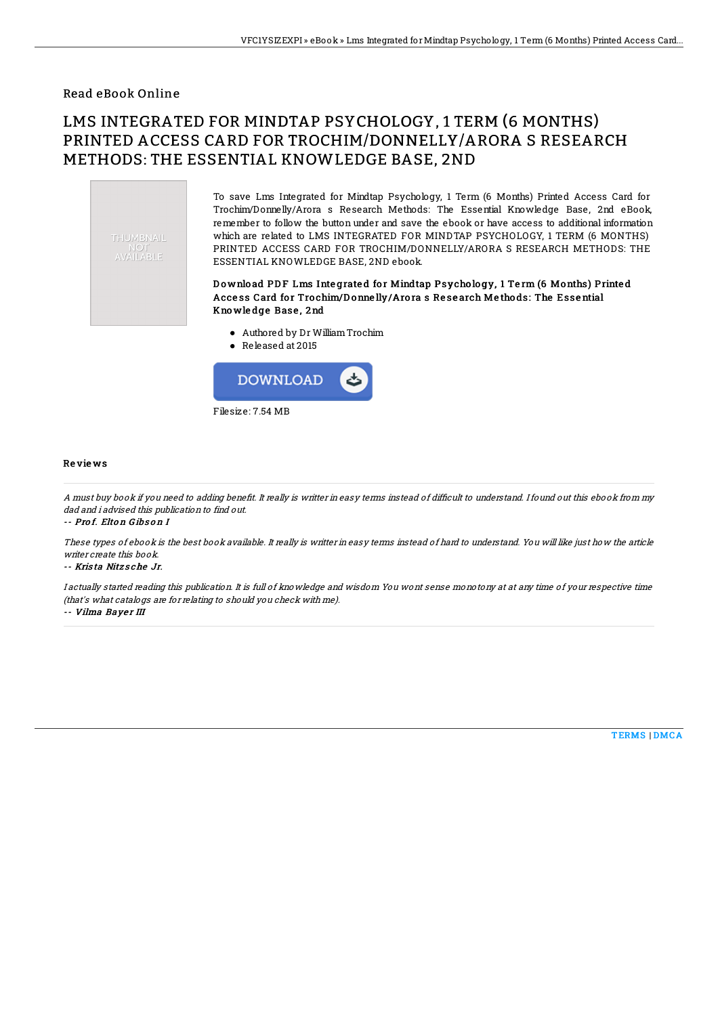### Read eBook Online

# LMS INTEGRATED FOR MINDTAP PSYCHOLOGY, 1 TERM (6 MONTHS) PRINTED ACCESS CARD FOR TROCHIM/DONNELLY/ARORA S RESEARCH METHODS: THE ESSENTIAL KNOWLEDGE BASE, 2ND



To save Lms Integrated for Mindtap Psychology, 1 Term (6 Months) Printed Access Card for Trochim/Donnelly/Arora s Research Methods: The Essential Knowledge Base, 2nd eBook, remember to follow the button under and save the ebook or have access to additional information which are related to LMS INTEGRATED FOR MINDTAP PSYCHOLOGY, 1 TERM (6 MONTHS) PRINTED ACCESS CARD FOR TROCHIM/DONNELLY/ARORA S RESEARCH METHODS: THE ESSENTIAL KNOWLEDGE BASE, 2ND ebook.

### Download PDF Lms Integrated for Mindtap Psychology, 1 Term (6 Months) Printed Access Card for Trochim/Donnelly/Arora s Research Methods: The Essential Kno wle dge Base , 2nd

- Authored by Dr WilliamTrochim
- Released at 2015



#### Re vie ws

A must buy book if you need to adding benefit. It really is writter in easy terms instead of difficult to understand. I found out this ebook from my dad and i advised this publication to find out.

-- Pro f. Elto <sup>n</sup> G ibs o <sup>n</sup> I

These types of ebook is the best book available. It really is writter in easy terms instead of hard to understand. You will like just how the article writer create this book.

-- Kris ta Nitz s che Jr.

I actually started reading this publication. It is full of knowledge and wisdom You wont sense monotony at at any time of your respective time (that's what catalogs are for relating to should you check with me).

-- Vilma Bayer III